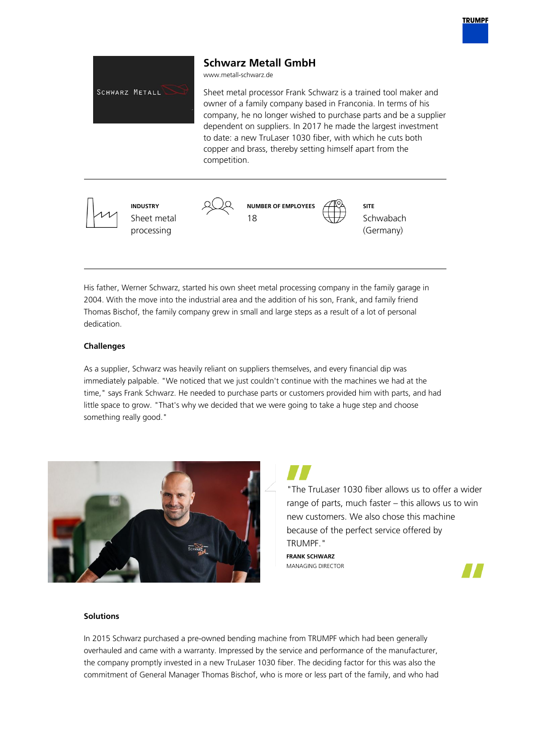

His father, Werner Schwarz, started his own sheet metal processing company in the family garage in 2004. With the move into the industrial area and the addition of his son, Frank, and family friend Thomas Bischof, the family company grew in small and large steps as a result of a lot of personal dedication.

# **Challenges**

As a supplier, Schwarz was heavily reliant on suppliers themselves, and every financial dip was immediately palpable. "We noticed that we just couldn't continue with the machines we had at the time," says Frank Schwarz. He needed to purchase parts or customers provided him with parts, and had little space to grow. "That's why we decided that we were going to take a huge step and choose something really good."



"The TruLaser 1030 fiber allows us to offer a wider range of parts, much faster – this allows us to win new customers. We also chose this machine because of the perfect service offered by TRUMPF."

**FRANK SCHWARZ** MANAGING DIRECTOR



#### **Solutions**

In 2015 Schwarz purchased a pre-owned bending machine from TRUMPF which had been generally overhauled and came with a warranty. Impressed by the service and performance of the manufacturer, the company promptly invested in a new TruLaser 1030 fiber. The deciding factor for this was also the commitment of General Manager Thomas Bischof, who is more or less part of the family, and who had